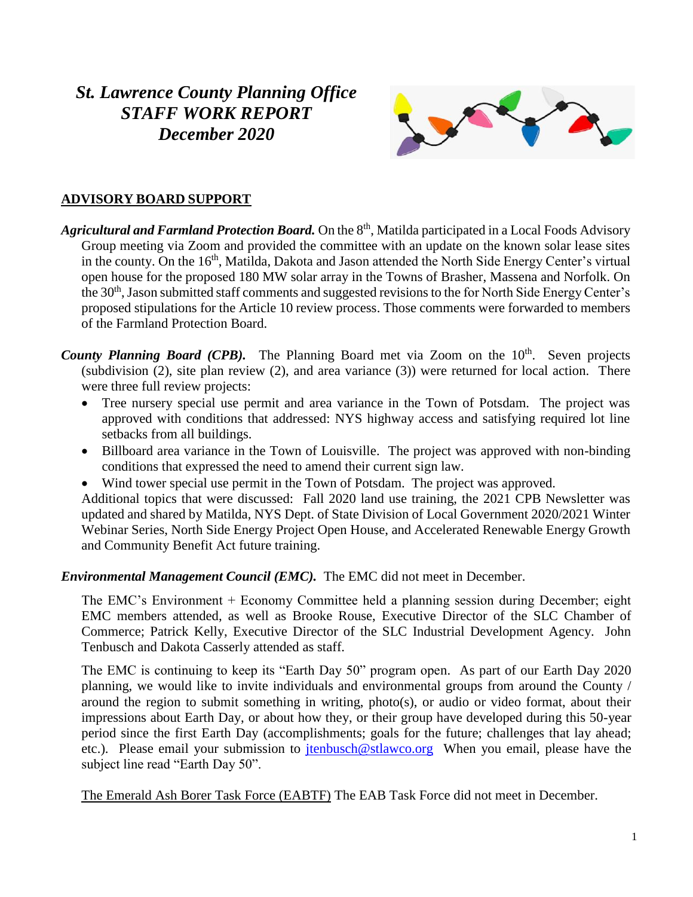# *St. Lawrence County Planning Office STAFF WORK REPORT December 2020*



# **ADVISORY BOARD SUPPORT**

- Agricultural and Farmland Protection Board. On the 8<sup>th</sup>, Matilda participated in a Local Foods Advisory Group meeting via Zoom and provided the committee with an update on the known solar lease sites in the county. On the 16<sup>th</sup>, Matilda, Dakota and Jason attended the North Side Energy Center's virtual open house for the proposed 180 MW solar array in the Towns of Brasher, Massena and Norfolk. On the 30<sup>th</sup>, Jason submitted staff comments and suggested revisions to the for North Side Energy Center's proposed stipulations for the Article 10 review process. Those comments were forwarded to members of the Farmland Protection Board.
- County Planning Board (CPB). The Planning Board met via Zoom on the 10<sup>th</sup>. Seven projects (subdivision (2), site plan review (2), and area variance (3)) were returned for local action. There were three full review projects:
	- Tree nursery special use permit and area variance in the Town of Potsdam. The project was approved with conditions that addressed: NYS highway access and satisfying required lot line setbacks from all buildings.
	- Billboard area variance in the Town of Louisville. The project was approved with non-binding conditions that expressed the need to amend their current sign law.
	- Wind tower special use permit in the Town of Potsdam. The project was approved.

Additional topics that were discussed: Fall 2020 land use training, the 2021 CPB Newsletter was updated and shared by Matilda, NYS Dept. of State Division of Local Government 2020/2021 Winter Webinar Series, North Side Energy Project Open House, and Accelerated Renewable Energy Growth and Community Benefit Act future training.

#### *Environmental Management Council (EMC).* The EMC did not meet in December.

The EMC's Environment + Economy Committee held a planning session during December; eight EMC members attended, as well as Brooke Rouse, Executive Director of the SLC Chamber of Commerce; Patrick Kelly, Executive Director of the SLC Industrial Development Agency. John Tenbusch and Dakota Casserly attended as staff.

The EMC is continuing to keep its "Earth Day 50" program open. As part of our Earth Day 2020 planning, we would like to invite individuals and environmental groups from around the County / around the region to submit something in writing, photo(s), or audio or video format, about their impressions about Earth Day, or about how they, or their group have developed during this 50-year period since the first Earth Day (accomplishments; goals for the future; challenges that lay ahead; etc.). Please email your submission to [jtenbusch@stlawco.org](mailto:jtenbusch@stlawco.org) When you email, please have the subject line read "Earth Day 50".

The Emerald Ash Borer Task Force (EABTF) The EAB Task Force did not meet in December.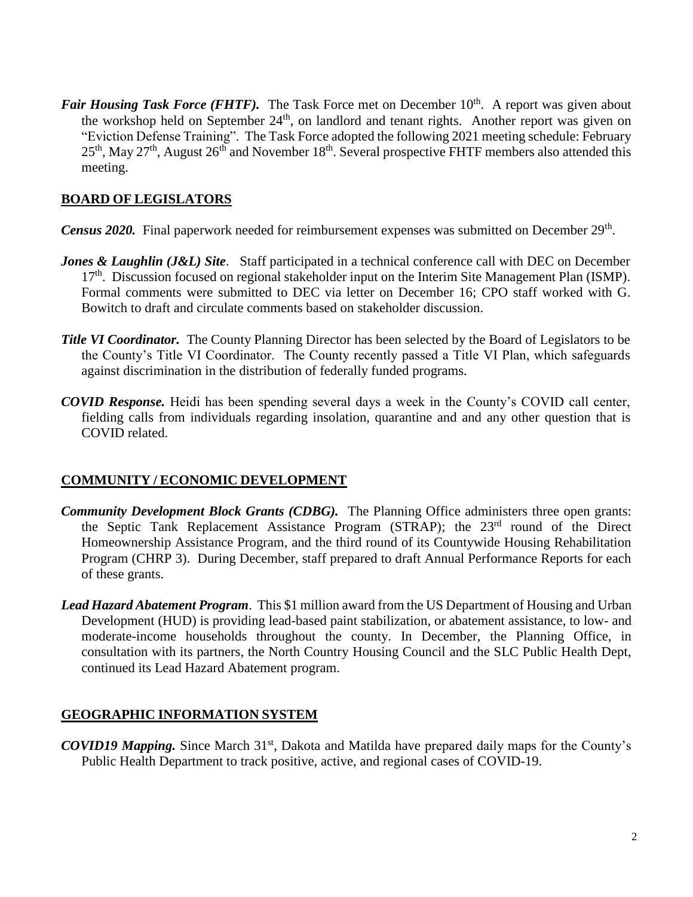Fair Housing Task Force (FHTF). The Task Force met on December 10<sup>th</sup>. A report was given about the workshop held on September 24<sup>th</sup>, on landlord and tenant rights. Another report was given on "Eviction Defense Training". The Task Force adopted the following 2021 meeting schedule: February  $25<sup>th</sup>$ , May  $27<sup>th</sup>$ , August  $26<sup>th</sup>$  and November 18<sup>th</sup>. Several prospective FHTF members also attended this meeting.

# **BOARD OF LEGISLATORS**

Census 2020. Final paperwork needed for reimbursement expenses was submitted on December 29<sup>th</sup>.

- *Jones & Laughlin (J&L) Site.* Staff participated in a technical conference call with DEC on December 17<sup>th</sup>. Discussion focused on regional stakeholder input on the Interim Site Management Plan (ISMP). Formal comments were submitted to DEC via letter on December 16; CPO staff worked with G. Bowitch to draft and circulate comments based on stakeholder discussion.
- *Title VI Coordinator.* The County Planning Director has been selected by the Board of Legislators to be the County's Title VI Coordinator. The County recently passed a Title VI Plan, which safeguards against discrimination in the distribution of federally funded programs.
- *COVID Response.* Heidi has been spending several days a week in the County's COVID call center, fielding calls from individuals regarding insolation, quarantine and and any other question that is COVID related.

## **COMMUNITY / ECONOMIC DEVELOPMENT**

- *Community Development Block Grants (CDBG).* The Planning Office administers three open grants: the Septic Tank Replacement Assistance Program (STRAP); the 23<sup>rd</sup> round of the Direct Homeownership Assistance Program, and the third round of its Countywide Housing Rehabilitation Program (CHRP 3). During December, staff prepared to draft Annual Performance Reports for each of these grants.
- *Lead Hazard Abatement Program*. This \$1 million award from the US Department of Housing and Urban Development (HUD) is providing lead-based paint stabilization, or abatement assistance, to low- and moderate-income households throughout the county. In December, the Planning Office, in consultation with its partners, the North Country Housing Council and the SLC Public Health Dept, continued its Lead Hazard Abatement program.

#### **GEOGRAPHIC INFORMATION SYSTEM**

*COVID19 Mapping.* Since March 31<sup>st</sup>, Dakota and Matilda have prepared daily maps for the County's Public Health Department to track positive, active, and regional cases of COVID-19.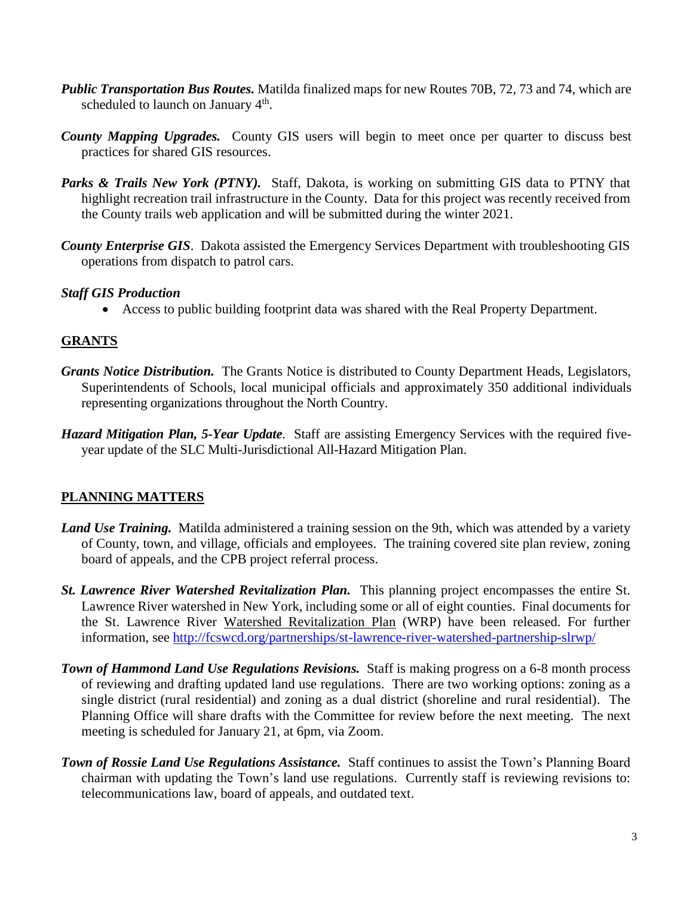- *Public Transportation Bus Routes.* Matilda finalized maps for new Routes 70B, 72, 73 and 74, which are scheduled to launch on January  $4<sup>th</sup>$ .
- *County Mapping Upgrades.* County GIS users will begin to meet once per quarter to discuss best practices for shared GIS resources.
- Parks & Trails New York (PTNY). Staff, Dakota, is working on submitting GIS data to PTNY that highlight recreation trail infrastructure in the County. Data for this project was recently received from the County trails web application and will be submitted during the winter 2021.
- *County Enterprise GIS*. Dakota assisted the Emergency Services Department with troubleshooting GIS operations from dispatch to patrol cars.

#### *Staff GIS Production*

Access to public building footprint data was shared with the Real Property Department.

## **GRANTS**

- *Grants Notice Distribution.* The Grants Notice is distributed to County Department Heads, Legislators, Superintendents of Schools, local municipal officials and approximately 350 additional individuals representing organizations throughout the North Country.
- *Hazard Mitigation Plan, 5-Year Update*. Staff are assisting Emergency Services with the required fiveyear update of the SLC Multi-Jurisdictional All-Hazard Mitigation Plan.

## **PLANNING MATTERS**

- *Land Use Training.* Matilda administered a training session on the 9th, which was attended by a variety of County, town, and village, officials and employees. The training covered site plan review, zoning board of appeals, and the CPB project referral process.
- *St. Lawrence River Watershed Revitalization Plan.* This planning project encompasses the entire St. Lawrence River watershed in New York, including some or all of eight counties. Final documents for the St. Lawrence River Watershed Revitalization Plan (WRP) have been released. For further information, see<http://fcswcd.org/partnerships/st-lawrence-river-watershed-partnership-slrwp/>
- *Town of Hammond Land Use Regulations Revisions.* Staff is making progress on a 6-8 month process of reviewing and drafting updated land use regulations. There are two working options: zoning as a single district (rural residential) and zoning as a dual district (shoreline and rural residential). The Planning Office will share drafts with the Committee for review before the next meeting. The next meeting is scheduled for January 21, at 6pm, via Zoom.
- *Town of Rossie Land Use Regulations Assistance.* Staff continues to assist the Town's Planning Board chairman with updating the Town's land use regulations. Currently staff is reviewing revisions to: telecommunications law, board of appeals, and outdated text.